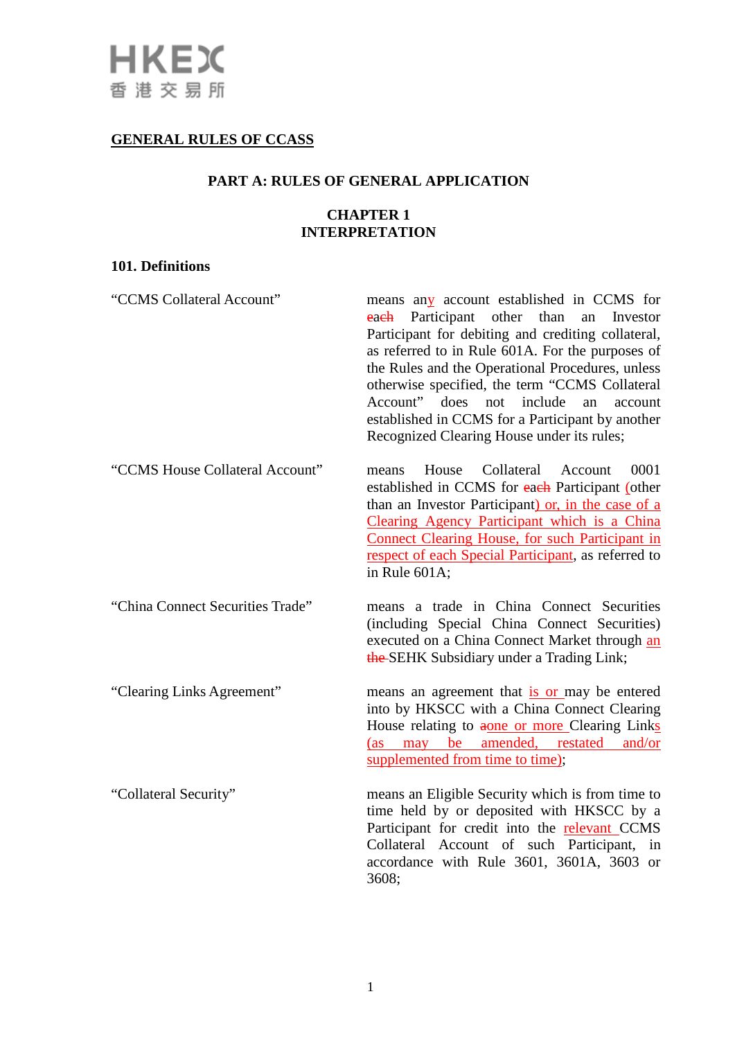# **GENERAL RULES OF CCASS**

## **PART A: RULES OF GENERAL APPLICATION**

## **CHAPTER 1 INTERPRETATION**

# **101. Definitions**

| "CCMS Collateral Account"        | means any account established in CCMS for<br>each Participant other<br>than<br>an<br>Investor<br>Participant for debiting and crediting collateral,<br>as referred to in Rule 601A. For the purposes of<br>the Rules and the Operational Procedures, unless<br>otherwise specified, the term "CCMS Collateral<br>Account"<br>does<br>not<br>include<br>account<br>an<br>established in CCMS for a Participant by another<br>Recognized Clearing House under its rules; |
|----------------------------------|------------------------------------------------------------------------------------------------------------------------------------------------------------------------------------------------------------------------------------------------------------------------------------------------------------------------------------------------------------------------------------------------------------------------------------------------------------------------|
| "CCMS House Collateral Account"  | Collateral<br>House<br>0001<br>Account<br>means<br>established in CCMS for each Participant (other<br>than an Investor Participant) or, in the case of a<br>Clearing Agency Participant which is a China<br>Connect Clearing House, for such Participant in<br>respect of each Special Participant, as referred to<br>in Rule 601A;                                                                                                                                    |
| "China Connect Securities Trade" | means a trade in China Connect Securities<br>(including Special China Connect Securities)<br>executed on a China Connect Market through an<br>the-SEHK Subsidiary under a Trading Link;                                                                                                                                                                                                                                                                                |
| "Clearing Links Agreement"       | means an agreement that is or may be entered<br>into by HKSCC with a China Connect Clearing<br>House relating to aone or more Clearing Links<br>(as may be amended, restated and/or<br>supplemented from time to time);                                                                                                                                                                                                                                                |
| "Collateral Security"            | means an Eligible Security which is from time to<br>time held by or deposited with HKSCC by a<br>Participant for credit into the relevant CCMS<br>Collateral Account of such Participant,<br>in<br>accordance with Rule 3601, 3601A, 3603 or<br>3608;                                                                                                                                                                                                                  |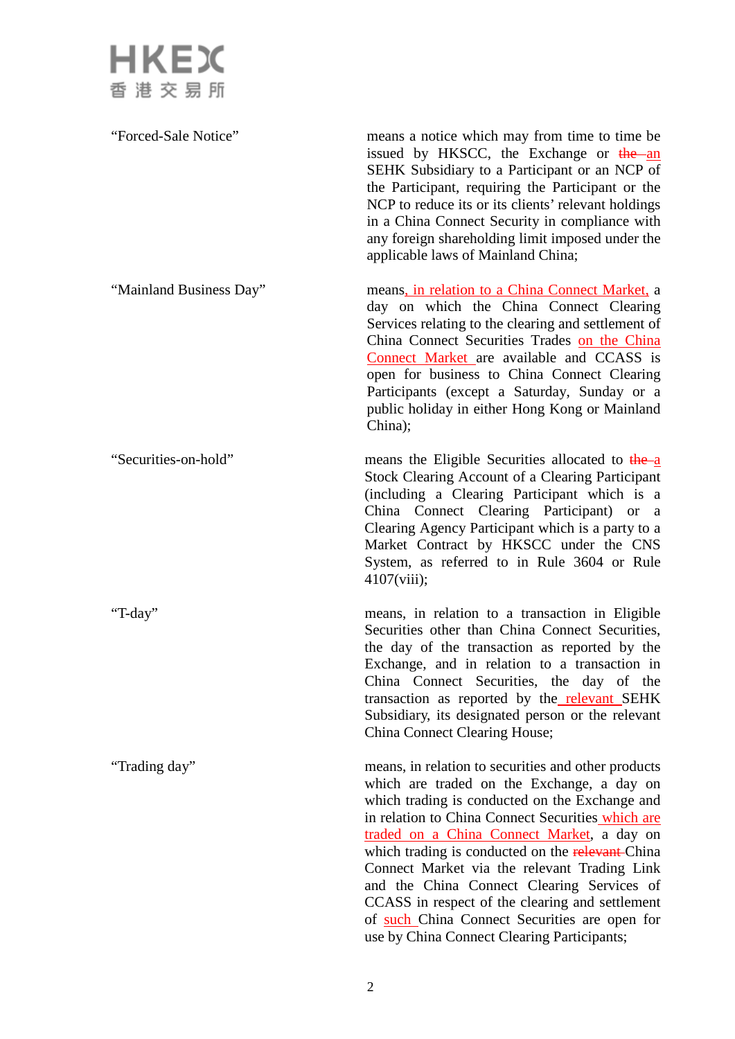

"Forced-Sale Notice" means a notice which may from time to time be issued by HKSCC, the Exchange or the an SEHK Subsidiary to a Participant or an NCP of the Participant, requiring the Participant or the NCP to reduce its or its clients' relevant holdings in a China Connect Security in compliance with any foreign shareholding limit imposed under the applicable laws of Mainland China; "Mainland Business Day" means, in relation to a China Connect Market, a day on which the China Connect Clearing Services relating to the clearing and settlement of China Connect Securities Trades on the China Connect Market are available and CCASS is open for business to China Connect Clearing Participants (except a Saturday, Sunday or a public holiday in either Hong Kong or Mainland China); "Securities-on-hold" means the Eligible Securities allocated to the a Stock Clearing Account of a Clearing Participant (including a Clearing Participant which is a China Connect Clearing Participant) or a Clearing Agency Participant which is a party to a Market Contract by HKSCC under the CNS System, as referred to in Rule 3604 or Rule 4107(viii); "T-day" means, in relation to a transaction in Eligible Securities other than China Connect Securities, the day of the transaction as reported by the Exchange, and in relation to a transaction in China Connect Securities, the day of the transaction as reported by the relevant SEHK Subsidiary, its designated person or the relevant China Connect Clearing House; "Trading day" means, in relation to securities and other products which are traded on the Exchange, a day on which trading is conducted on the Exchange and in relation to China Connect Securities which are traded on a China Connect Market, a day on which trading is conducted on the relevant-China Connect Market via the relevant Trading Link and the China Connect Clearing Services of CCASS in respect of the clearing and settlement of such China Connect Securities are open for use by China Connect Clearing Participants;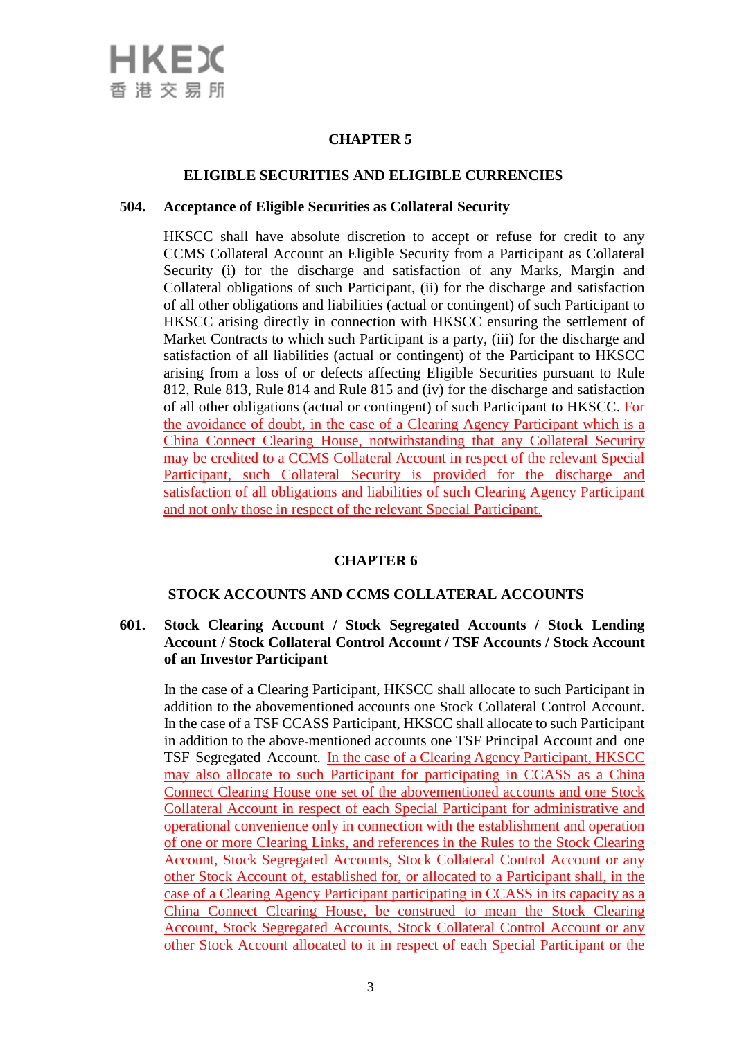

# **CHAPTER 5**

#### **ELIGIBLE SECURITIES AND ELIGIBLE CURRENCIES**

#### **504. Acceptance of Eligible Securities as Collateral Security**

HKSCC shall have absolute discretion to accept or refuse for credit to any CCMS Collateral Account an Eligible Security from a Participant as Collateral Security (i) for the discharge and satisfaction of any Marks, Margin and Collateral obligations of such Participant, (ii) for the discharge and satisfaction of all other obligations and liabilities (actual or contingent) of such Participant to HKSCC arising directly in connection with HKSCC ensuring the settlement of Market Contracts to which such Participant is a party, (iii) for the discharge and satisfaction of all liabilities (actual or contingent) of the Participant to HKSCC arising from a loss of or defects affecting Eligible Securities pursuant to Rule 812, Rule 813, Rule 814 and Rule 815 and (iv) for the discharge and satisfaction of all other obligations (actual or contingent) of such Participant to HKSCC. For the avoidance of doubt, in the case of a Clearing Agency Participant which is a China Connect Clearing House, notwithstanding that any Collateral Security may be credited to a CCMS Collateral Account in respect of the relevant Special Participant, such Collateral Security is provided for the discharge and satisfaction of all obligations and liabilities of such Clearing Agency Participant and not only those in respect of the relevant Special Participant.

# **CHAPTER 6**

## **STOCK ACCOUNTS AND CCMS COLLATERAL ACCOUNTS**

## **601. Stock Clearing Account / Stock Segregated Accounts / Stock Lending Account / Stock Collateral Control Account / TSF Accounts / Stock Account of an Investor Participant**

In the case of a Clearing Participant, HKSCC shall allocate to such Participant in addition to the abovementioned accounts one Stock Collateral Control Account. In the case of a TSF CCASS Participant, HKSCC shall allocate to such Participant in addition to the above mentioned accounts one TSF Principal Account and one TSF Segregated Account. In the case of a Clearing Agency Participant, HKSCC may also allocate to such Participant for participating in CCASS as a China Connect Clearing House one set of the abovementioned accounts and one Stock Collateral Account in respect of each Special Participant for administrative and operational convenience only in connection with the establishment and operation of one or more Clearing Links, and references in the Rules to the Stock Clearing Account, Stock Segregated Accounts, Stock Collateral Control Account or any other Stock Account of, established for, or allocated to a Participant shall, in the case of a Clearing Agency Participant participating in CCASS in its capacity as a China Connect Clearing House, be construed to mean the Stock Clearing Account, Stock Segregated Accounts, Stock Collateral Control Account or any other Stock Account allocated to it in respect of each Special Participant or the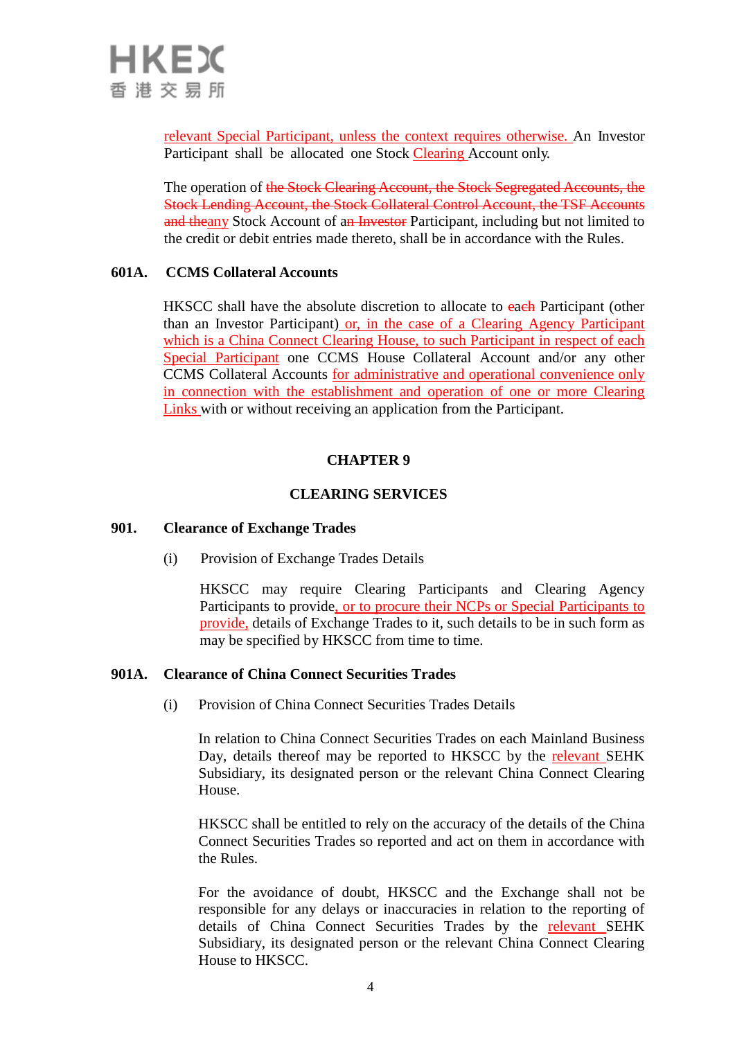

relevant Special Participant, unless the context requires otherwise. An Investor Participant shall be allocated one Stock Clearing Account only.

The operation of the Stock Clearing Account, the Stock Segregated Accounts, the Stock Lending Account, the Stock Collateral Control Account, the TSF Accounts and theany Stock Account of an Investor Participant, including but not limited to the credit or debit entries made thereto, shall be in accordance with the Rules.

## **601A. CCMS Collateral Accounts**

HKSCC shall have the absolute discretion to allocate to each Participant (other than an Investor Participant) or, in the case of a Clearing Agency Participant which is a China Connect Clearing House, to such Participant in respect of each Special Participant one CCMS House Collateral Account and/or any other CCMS Collateral Accounts for administrative and operational convenience only in connection with the establishment and operation of one or more Clearing Links with or without receiving an application from the Participant.

## **CHAPTER 9**

#### **CLEARING SERVICES**

#### **901. Clearance of Exchange Trades**

(i) Provision of Exchange Trades Details

HKSCC may require Clearing Participants and Clearing Agency Participants to provide, or to procure their NCPs or Special Participants to provide, details of Exchange Trades to it, such details to be in such form as may be specified by HKSCC from time to time.

#### **901A. Clearance of China Connect Securities Trades**

(i) Provision of China Connect Securities Trades Details

In relation to China Connect Securities Trades on each Mainland Business Day, details thereof may be reported to HKSCC by the relevant SEHK Subsidiary, its designated person or the relevant China Connect Clearing House.

HKSCC shall be entitled to rely on the accuracy of the details of the China Connect Securities Trades so reported and act on them in accordance with the Rules.

For the avoidance of doubt, HKSCC and the Exchange shall not be responsible for any delays or inaccuracies in relation to the reporting of details of China Connect Securities Trades by the relevant SEHK Subsidiary, its designated person or the relevant China Connect Clearing House to HKSCC.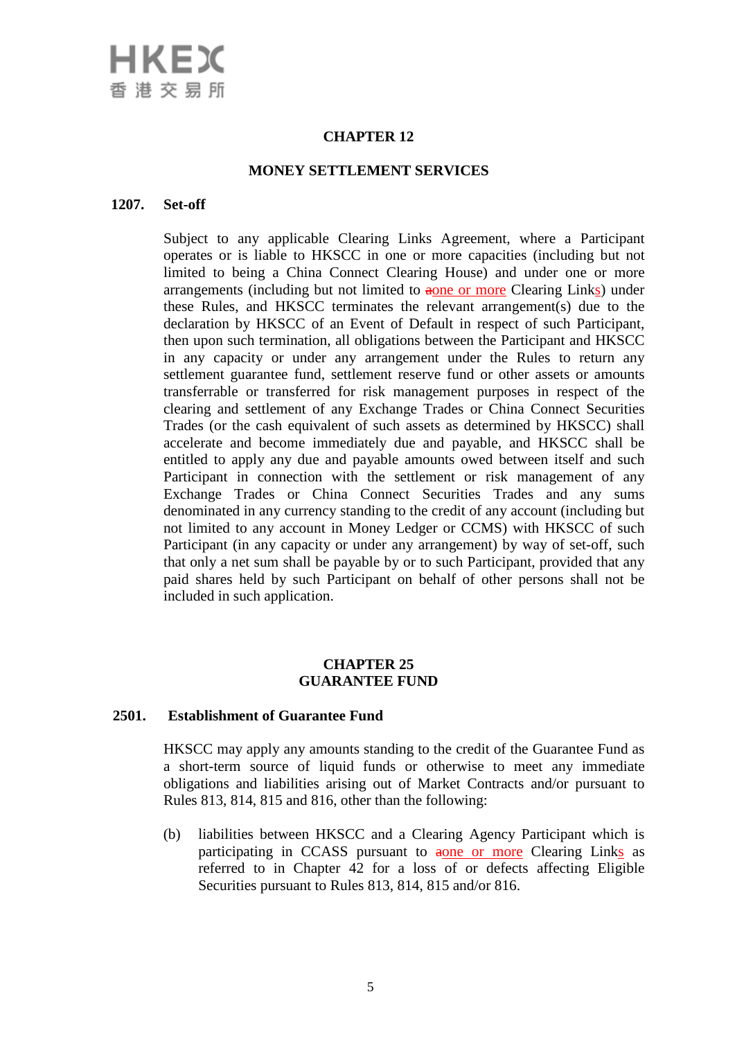# HKEX 香港交易所

# **CHAPTER 12**

#### **MONEY SETTLEMENT SERVICES**

#### **1207. Set-off**

Subject to any applicable Clearing Links Agreement, where a Participant operates or is liable to HKSCC in one or more capacities (including but not limited to being a China Connect Clearing House) and under one or more arrangements (including but not limited to aone or more Clearing Links) under these Rules, and HKSCC terminates the relevant arrangement(s) due to the declaration by HKSCC of an Event of Default in respect of such Participant, then upon such termination, all obligations between the Participant and HKSCC in any capacity or under any arrangement under the Rules to return any settlement guarantee fund, settlement reserve fund or other assets or amounts transferrable or transferred for risk management purposes in respect of the clearing and settlement of any Exchange Trades or China Connect Securities Trades (or the cash equivalent of such assets as determined by HKSCC) shall accelerate and become immediately due and payable, and HKSCC shall be entitled to apply any due and payable amounts owed between itself and such Participant in connection with the settlement or risk management of any Exchange Trades or China Connect Securities Trades and any sums denominated in any currency standing to the credit of any account (including but not limited to any account in Money Ledger or CCMS) with HKSCC of such Participant (in any capacity or under any arrangement) by way of set-off, such that only a net sum shall be payable by or to such Participant, provided that any paid shares held by such Participant on behalf of other persons shall not be included in such application.

## **CHAPTER 25 GUARANTEE FUND**

## **2501. Establishment of Guarantee Fund**

HKSCC may apply any amounts standing to the credit of the Guarantee Fund as a short-term source of liquid funds or otherwise to meet any immediate obligations and liabilities arising out of Market Contracts and/or pursuant to Rules 813, 814, 815 and 816, other than the following:

(b) liabilities between HKSCC and a Clearing Agency Participant which is participating in CCASS pursuant to aone or more Clearing Links as referred to in Chapter 42 for a loss of or defects affecting Eligible Securities pursuant to Rules 813, 814, 815 and/or 816.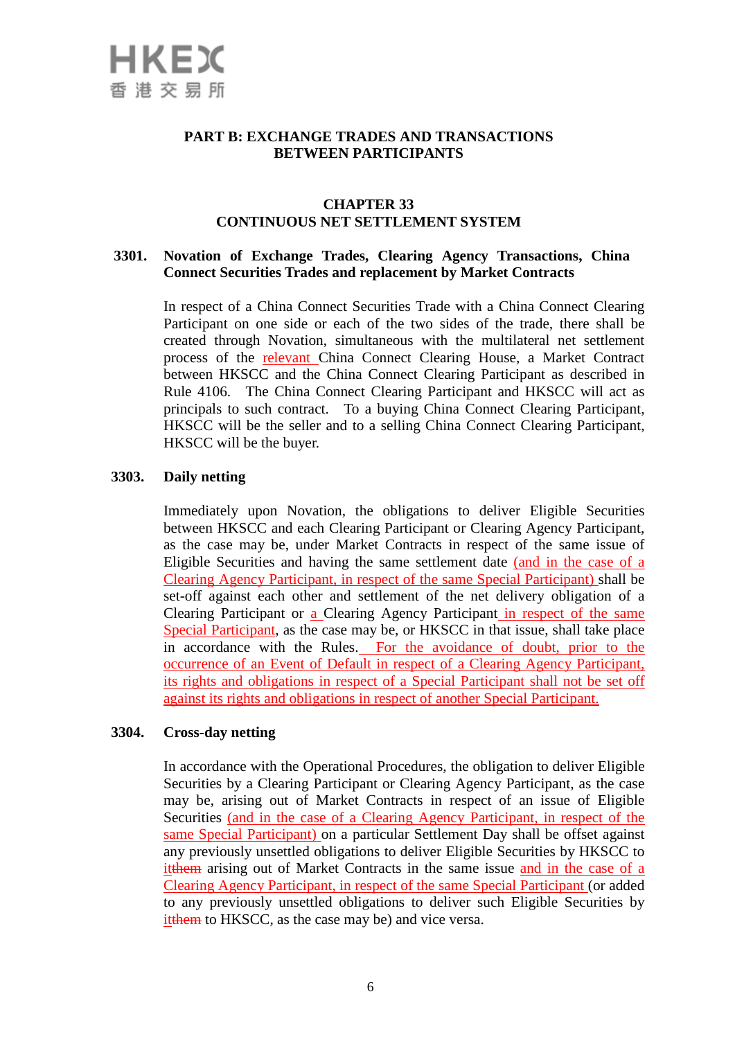

## **PART B: EXCHANGE TRADES AND TRANSACTIONS BETWEEN PARTICIPANTS**

## **CHAPTER 33 CONTINUOUS NET SETTLEMENT SYSTEM**

#### **3301. Novation of Exchange Trades, Clearing Agency Transactions, China Connect Securities Trades and replacement by Market Contracts**

In respect of a China Connect Securities Trade with a China Connect Clearing Participant on one side or each of the two sides of the trade, there shall be created through Novation, simultaneous with the multilateral net settlement process of the relevant China Connect Clearing House, a Market Contract between HKSCC and the China Connect Clearing Participant as described in Rule 4106. The China Connect Clearing Participant and HKSCC will act as principals to such contract. To a buying China Connect Clearing Participant, HKSCC will be the seller and to a selling China Connect Clearing Participant, HKSCC will be the buyer.

#### **3303. Daily netting**

Immediately upon Novation, the obligations to deliver Eligible Securities between HKSCC and each Clearing Participant or Clearing Agency Participant, as the case may be, under Market Contracts in respect of the same issue of Eligible Securities and having the same settlement date (and in the case of a Clearing Agency Participant, in respect of the same Special Participant) shall be set-off against each other and settlement of the net delivery obligation of a Clearing Participant or a Clearing Agency Participant in respect of the same Special Participant, as the case may be, or HKSCC in that issue, shall take place in accordance with the Rules. For the avoidance of doubt, prior to the occurrence of an Event of Default in respect of a Clearing Agency Participant, its rights and obligations in respect of a Special Participant shall not be set off against its rights and obligations in respect of another Special Participant.

#### **3304. Cross-day netting**

In accordance with the Operational Procedures, the obligation to deliver Eligible Securities by a Clearing Participant or Clearing Agency Participant, as the case may be, arising out of Market Contracts in respect of an issue of Eligible Securities (and in the case of a Clearing Agency Participant, in respect of the same Special Participant) on a particular Settlement Day shall be offset against any previously unsettled obligations to deliver Eligible Securities by HKSCC to itthem arising out of Market Contracts in the same issue and in the case of a Clearing Agency Participant, in respect of the same Special Participant (or added to any previously unsettled obligations to deliver such Eligible Securities by itthem to HKSCC, as the case may be) and vice versa.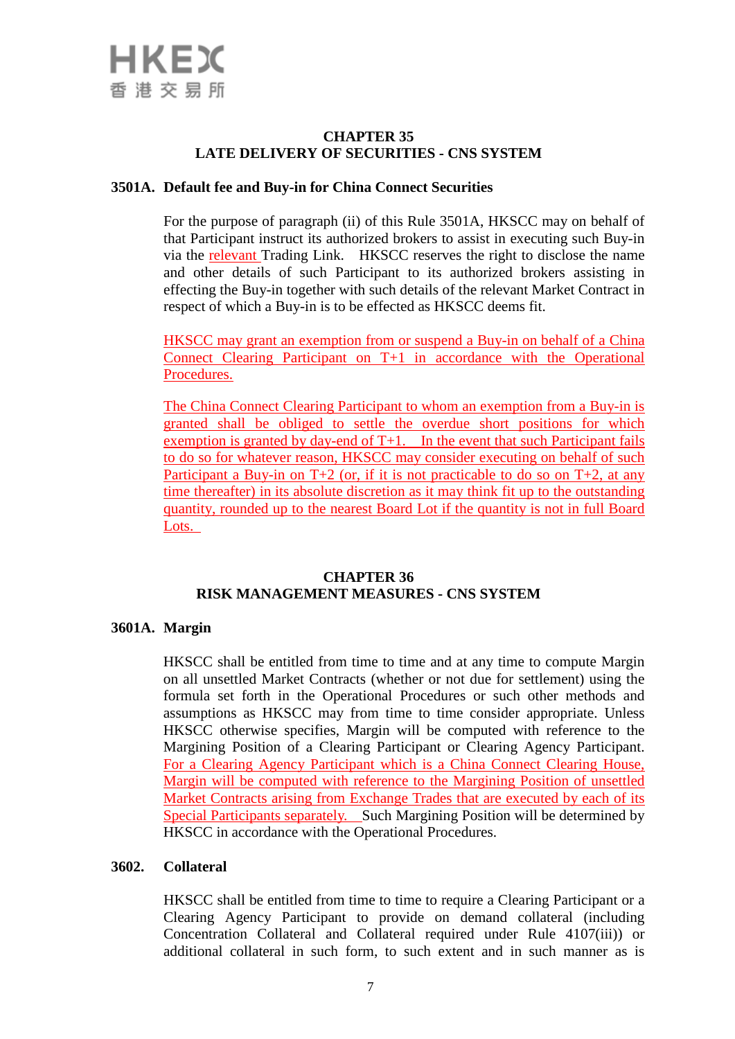# **CHAPTER 35 LATE DELIVERY OF SECURITIES - CNS SYSTEM**

## **3501A. Default fee and Buy-in for China Connect Securities**

For the purpose of paragraph (ii) of this Rule 3501A, HKSCC may on behalf of that Participant instruct its authorized brokers to assist in executing such Buy-in via the relevant Trading Link. HKSCC reserves the right to disclose the name and other details of such Participant to its authorized brokers assisting in effecting the Buy-in together with such details of the relevant Market Contract in respect of which a Buy-in is to be effected as HKSCC deems fit.

HKSCC may grant an exemption from or suspend a Buy-in on behalf of a China Connect Clearing Participant on T+1 in accordance with the Operational Procedures.

The China Connect Clearing Participant to whom an exemption from a Buy-in is granted shall be obliged to settle the overdue short positions for which exemption is granted by day-end of T+1. In the event that such Participant fails to do so for whatever reason, HKSCC may consider executing on behalf of such Participant a Buy-in on  $T+2$  (or, if it is not practicable to do so on  $T+2$ , at any time thereafter) in its absolute discretion as it may think fit up to the outstanding quantity, rounded up to the nearest Board Lot if the quantity is not in full Board Lots.

## **CHAPTER 36 RISK MANAGEMENT MEASURES - CNS SYSTEM**

# **3601A. Margin**

HKSCC shall be entitled from time to time and at any time to compute Margin on all unsettled Market Contracts (whether or not due for settlement) using the formula set forth in the Operational Procedures or such other methods and assumptions as HKSCC may from time to time consider appropriate. Unless HKSCC otherwise specifies, Margin will be computed with reference to the Margining Position of a Clearing Participant or Clearing Agency Participant. For a Clearing Agency Participant which is a China Connect Clearing House, Margin will be computed with reference to the Margining Position of unsettled Market Contracts arising from Exchange Trades that are executed by each of its Special Participants separately. Such Margining Position will be determined by HKSCC in accordance with the Operational Procedures.

## **3602. Collateral**

HKSCC shall be entitled from time to time to require a Clearing Participant or a Clearing Agency Participant to provide on demand collateral (including Concentration Collateral and Collateral required under Rule 4107(iii)) or additional collateral in such form, to such extent and in such manner as is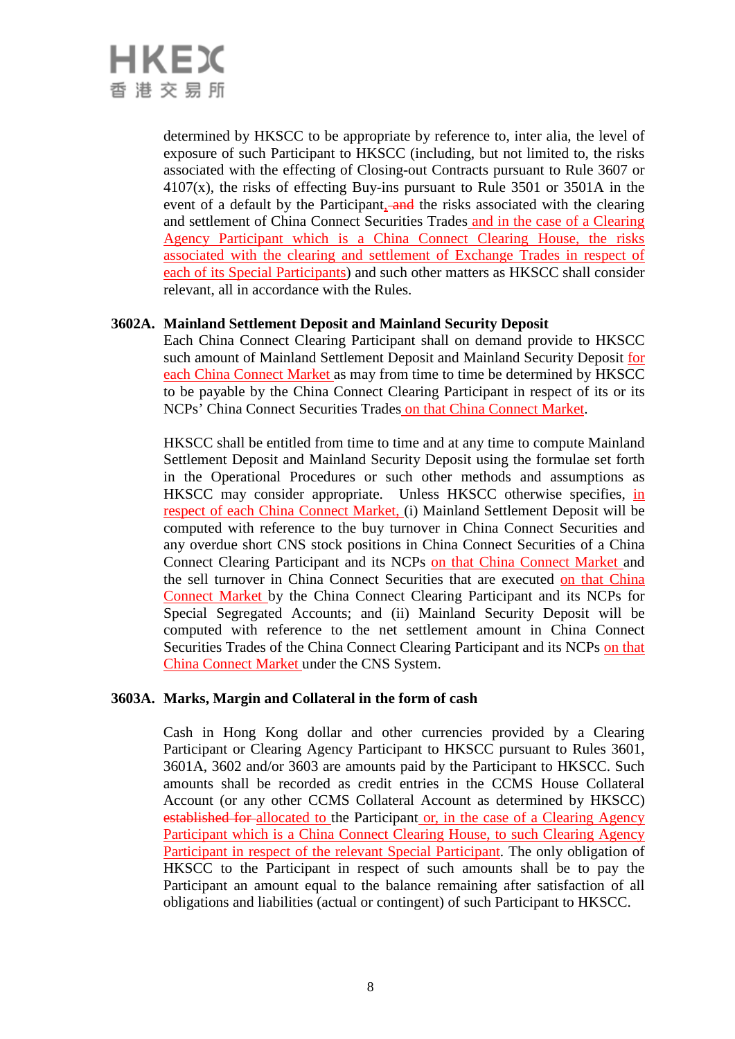# HKEX 香港交易所

determined by HKSCC to be appropriate by reference to, inter alia, the level of exposure of such Participant to HKSCC (including, but not limited to, the risks associated with the effecting of Closing-out Contracts pursuant to Rule 3607 or  $4107(x)$ , the risks of effecting Buy-ins pursuant to Rule 3501 or 3501A in the event of a default by the Participant, and the risks associated with the clearing and settlement of China Connect Securities Trades and in the case of a Clearing Agency Participant which is a China Connect Clearing House, the risks associated with the clearing and settlement of Exchange Trades in respect of each of its Special Participants) and such other matters as HKSCC shall consider relevant, all in accordance with the Rules.

# **3602A. Mainland Settlement Deposit and Mainland Security Deposit**

Each China Connect Clearing Participant shall on demand provide to HKSCC such amount of Mainland Settlement Deposit and Mainland Security Deposit for each China Connect Market as may from time to time be determined by HKSCC to be payable by the China Connect Clearing Participant in respect of its or its NCPs' China Connect Securities Trades on that China Connect Market.

HKSCC shall be entitled from time to time and at any time to compute Mainland Settlement Deposit and Mainland Security Deposit using the formulae set forth in the Operational Procedures or such other methods and assumptions as HKSCC may consider appropriate. Unless HKSCC otherwise specifies, in respect of each China Connect Market, (i) Mainland Settlement Deposit will be computed with reference to the buy turnover in China Connect Securities and any overdue short CNS stock positions in China Connect Securities of a China Connect Clearing Participant and its NCPs on that China Connect Market and the sell turnover in China Connect Securities that are executed on that China Connect Market by the China Connect Clearing Participant and its NCPs for Special Segregated Accounts; and (ii) Mainland Security Deposit will be computed with reference to the net settlement amount in China Connect Securities Trades of the China Connect Clearing Participant and its NCPs on that China Connect Market under the CNS System.

# **3603A. Marks, Margin and Collateral in the form of cash**

Cash in Hong Kong dollar and other currencies provided by a Clearing Participant or Clearing Agency Participant to HKSCC pursuant to Rules 3601, 3601A, 3602 and/or 3603 are amounts paid by the Participant to HKSCC. Such amounts shall be recorded as credit entries in the CCMS House Collateral Account (or any other CCMS Collateral Account as determined by HKSCC) established for allocated to the Participant or, in the case of a Clearing Agency Participant which is a China Connect Clearing House, to such Clearing Agency Participant in respect of the relevant Special Participant. The only obligation of HKSCC to the Participant in respect of such amounts shall be to pay the Participant an amount equal to the balance remaining after satisfaction of all obligations and liabilities (actual or contingent) of such Participant to HKSCC.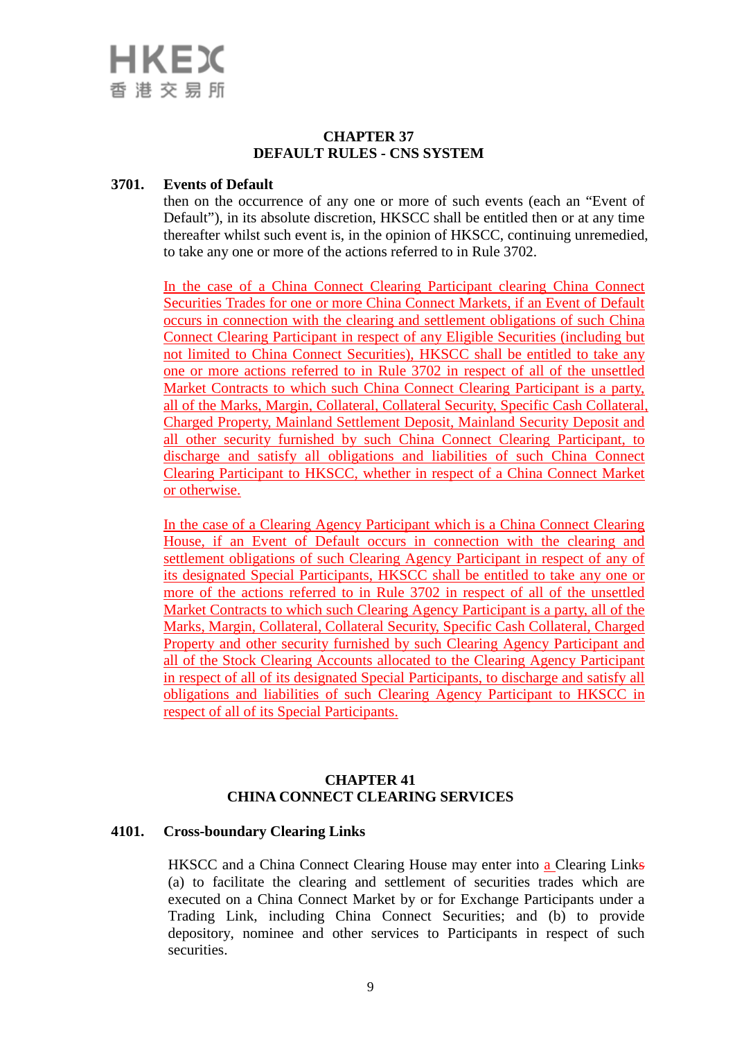

## **CHAPTER 37 DEFAULT RULES - CNS SYSTEM**

#### **3701. Events of Default**

then on the occurrence of any one or more of such events (each an "Event of Default"), in its absolute discretion, HKSCC shall be entitled then or at any time thereafter whilst such event is, in the opinion of HKSCC, continuing unremedied, to take any one or more of the actions referred to in Rule 3702.

In the case of a China Connect Clearing Participant clearing China Connect Securities Trades for one or more China Connect Markets, if an Event of Default occurs in connection with the clearing and settlement obligations of such China Connect Clearing Participant in respect of any Eligible Securities (including but not limited to China Connect Securities), HKSCC shall be entitled to take any one or more actions referred to in Rule 3702 in respect of all of the unsettled Market Contracts to which such China Connect Clearing Participant is a party, all of the Marks, Margin, Collateral, Collateral Security, Specific Cash Collateral, Charged Property, Mainland Settlement Deposit, Mainland Security Deposit and all other security furnished by such China Connect Clearing Participant, to discharge and satisfy all obligations and liabilities of such China Connect Clearing Participant to HKSCC, whether in respect of a China Connect Market or otherwise.

In the case of a Clearing Agency Participant which is a China Connect Clearing House, if an Event of Default occurs in connection with the clearing and settlement obligations of such Clearing Agency Participant in respect of any of its designated Special Participants, HKSCC shall be entitled to take any one or more of the actions referred to in Rule 3702 in respect of all of the unsettled Market Contracts to which such Clearing Agency Participant is a party, all of the Marks, Margin, Collateral, Collateral Security, Specific Cash Collateral, Charged Property and other security furnished by such Clearing Agency Participant and all of the Stock Clearing Accounts allocated to the Clearing Agency Participant in respect of all of its designated Special Participants, to discharge and satisfy all obligations and liabilities of such Clearing Agency Participant to HKSCC in respect of all of its Special Participants.

## **CHAPTER 41 CHINA CONNECT CLEARING SERVICES**

#### **4101. Cross-boundary Clearing Links**

HKSCC and a China Connect Clearing House may enter into a Clearing Links (a) to facilitate the clearing and settlement of securities trades which are executed on a China Connect Market by or for Exchange Participants under a Trading Link, including China Connect Securities; and (b) to provide depository, nominee and other services to Participants in respect of such securities.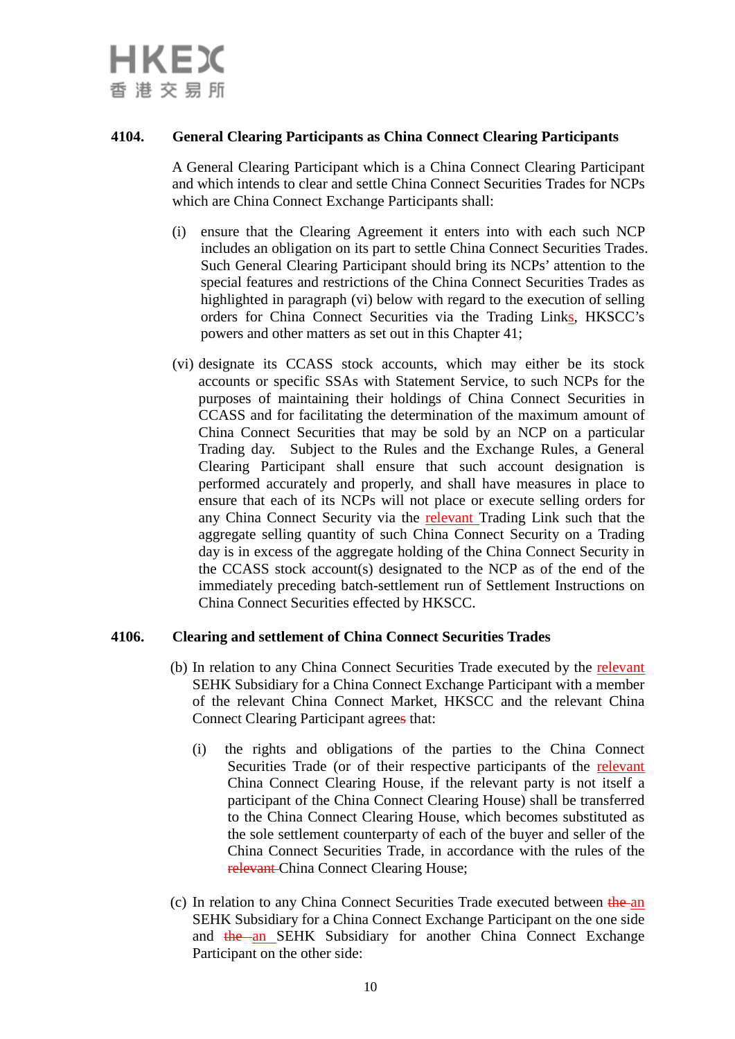

## **4104. General Clearing Participants as China Connect Clearing Participants**

A General Clearing Participant which is a China Connect Clearing Participant and which intends to clear and settle China Connect Securities Trades for NCPs which are China Connect Exchange Participants shall:

- (i) ensure that the Clearing Agreement it enters into with each such NCP includes an obligation on its part to settle China Connect Securities Trades. Such General Clearing Participant should bring its NCPs' attention to the special features and restrictions of the China Connect Securities Trades as highlighted in paragraph (vi) below with regard to the execution of selling orders for China Connect Securities via the Trading Links, HKSCC's powers and other matters as set out in this Chapter 41;
- (vi) designate its CCASS stock accounts, which may either be its stock accounts or specific SSAs with Statement Service, to such NCPs for the purposes of maintaining their holdings of China Connect Securities in CCASS and for facilitating the determination of the maximum amount of China Connect Securities that may be sold by an NCP on a particular Trading day. Subject to the Rules and the Exchange Rules, a General Clearing Participant shall ensure that such account designation is performed accurately and properly, and shall have measures in place to ensure that each of its NCPs will not place or execute selling orders for any China Connect Security via the relevant Trading Link such that the aggregate selling quantity of such China Connect Security on a Trading day is in excess of the aggregate holding of the China Connect Security in the CCASS stock account(s) designated to the NCP as of the end of the immediately preceding batch-settlement run of Settlement Instructions on China Connect Securities effected by HKSCC.

## **4106. Clearing and settlement of China Connect Securities Trades**

- (b) In relation to any China Connect Securities Trade executed by the relevant SEHK Subsidiary for a China Connect Exchange Participant with a member of the relevant China Connect Market, HKSCC and the relevant China Connect Clearing Participant agrees that:
	- (i) the rights and obligations of the parties to the China Connect Securities Trade (or of their respective participants of the relevant China Connect Clearing House, if the relevant party is not itself a participant of the China Connect Clearing House) shall be transferred to the China Connect Clearing House, which becomes substituted as the sole settlement counterparty of each of the buyer and seller of the China Connect Securities Trade, in accordance with the rules of the relevant China Connect Clearing House;
- (c) In relation to any China Connect Securities Trade executed between the an SEHK Subsidiary for a China Connect Exchange Participant on the one side and the an SEHK Subsidiary for another China Connect Exchange Participant on the other side: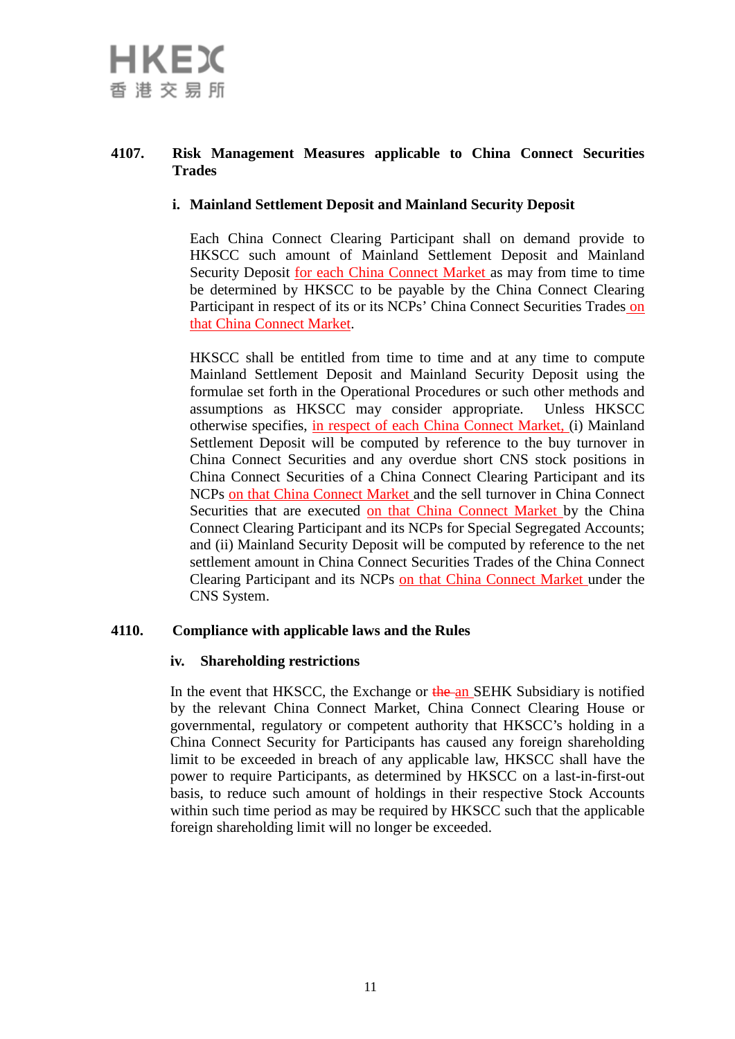# **4107. Risk Management Measures applicable to China Connect Securities Trades**

# **i. Mainland Settlement Deposit and Mainland Security Deposit**

Each China Connect Clearing Participant shall on demand provide to HKSCC such amount of Mainland Settlement Deposit and Mainland Security Deposit for each China Connect Market as may from time to time be determined by HKSCC to be payable by the China Connect Clearing Participant in respect of its or its NCPs' China Connect Securities Trades on that China Connect Market.

HKSCC shall be entitled from time to time and at any time to compute Mainland Settlement Deposit and Mainland Security Deposit using the formulae set forth in the Operational Procedures or such other methods and assumptions as HKSCC may consider appropriate. Unless HKSCC otherwise specifies, in respect of each China Connect Market, (i) Mainland Settlement Deposit will be computed by reference to the buy turnover in China Connect Securities and any overdue short CNS stock positions in China Connect Securities of a China Connect Clearing Participant and its NCPs on that China Connect Market and the sell turnover in China Connect Securities that are executed on that China Connect Market by the China Connect Clearing Participant and its NCPs for Special Segregated Accounts; and (ii) Mainland Security Deposit will be computed by reference to the net settlement amount in China Connect Securities Trades of the China Connect Clearing Participant and its NCPs on that China Connect Market under the CNS System.

# **4110. Compliance with applicable laws and the Rules**

## **iv. Shareholding restrictions**

In the event that HKSCC, the Exchange or the an SEHK Subsidiary is notified by the relevant China Connect Market, China Connect Clearing House or governmental, regulatory or competent authority that HKSCC's holding in a China Connect Security for Participants has caused any foreign shareholding limit to be exceeded in breach of any applicable law, HKSCC shall have the power to require Participants, as determined by HKSCC on a last-in-first-out basis, to reduce such amount of holdings in their respective Stock Accounts within such time period as may be required by HKSCC such that the applicable foreign shareholding limit will no longer be exceeded.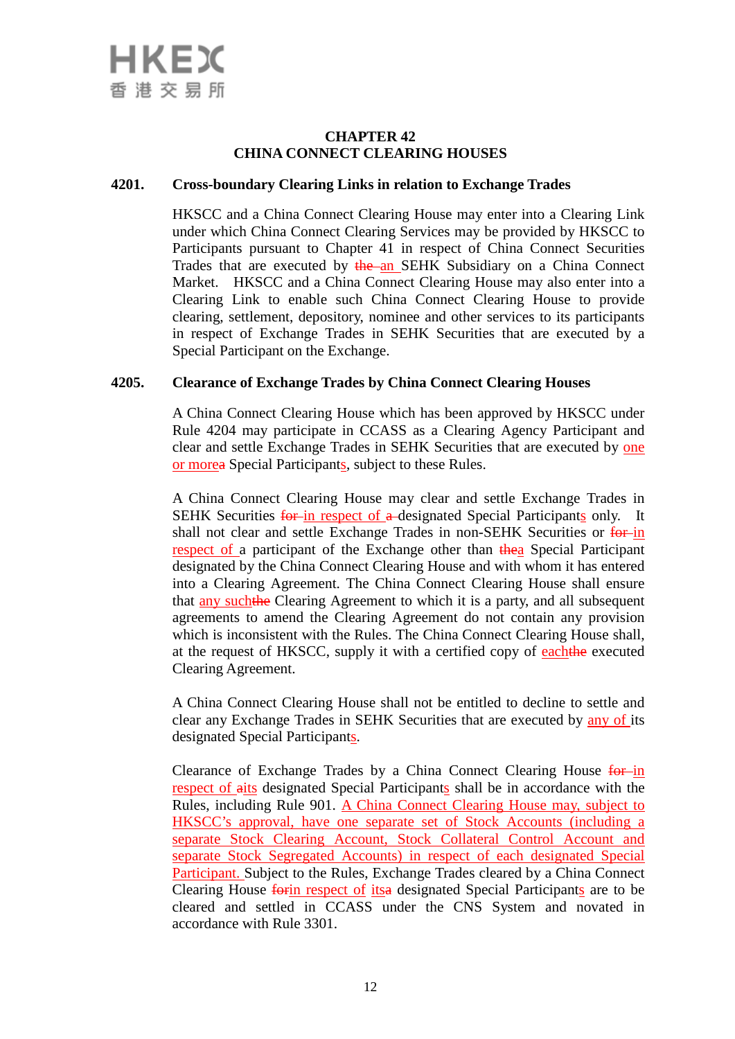## **CHAPTER 42 CHINA CONNECT CLEARING HOUSES**

## **4201. Cross-boundary Clearing Links in relation to Exchange Trades**

HKSCC and a China Connect Clearing House may enter into a Clearing Link under which China Connect Clearing Services may be provided by HKSCC to Participants pursuant to Chapter 41 in respect of China Connect Securities Trades that are executed by the an SEHK Subsidiary on a China Connect Market. HKSCC and a China Connect Clearing House may also enter into a Clearing Link to enable such China Connect Clearing House to provide clearing, settlement, depository, nominee and other services to its participants in respect of Exchange Trades in SEHK Securities that are executed by a Special Participant on the Exchange.

## **4205. Clearance of Exchange Trades by China Connect Clearing Houses**

A China Connect Clearing House which has been approved by HKSCC under Rule 4204 may participate in CCASS as a Clearing Agency Participant and clear and settle Exchange Trades in SEHK Securities that are executed by one or morea Special Participants, subject to these Rules.

A China Connect Clearing House may clear and settle Exchange Trades in SEHK Securities for in respect of a designated Special Participants only. It shall not clear and settle Exchange Trades in non-SEHK Securities or for in respect of a participant of the Exchange other than thea Special Participant designated by the China Connect Clearing House and with whom it has entered into a Clearing Agreement. The China Connect Clearing House shall ensure that any suchthe Clearing Agreement to which it is a party, and all subsequent agreements to amend the Clearing Agreement do not contain any provision which is inconsistent with the Rules. The China Connect Clearing House shall, at the request of HKSCC, supply it with a certified copy of eachthe executed Clearing Agreement.

A China Connect Clearing House shall not be entitled to decline to settle and clear any Exchange Trades in SEHK Securities that are executed by any of its designated Special Participants.

Clearance of Exchange Trades by a China Connect Clearing House for in respect of aits designated Special Participants shall be in accordance with the Rules, including Rule 901. A China Connect Clearing House may, subject to HKSCC's approval, have one separate set of Stock Accounts (including a separate Stock Clearing Account, Stock Collateral Control Account and separate Stock Segregated Accounts) in respect of each designated Special Participant. Subject to the Rules, Exchange Trades cleared by a China Connect Clearing House forin respect of itsa designated Special Participants are to be cleared and settled in CCASS under the CNS System and novated in accordance with Rule 3301.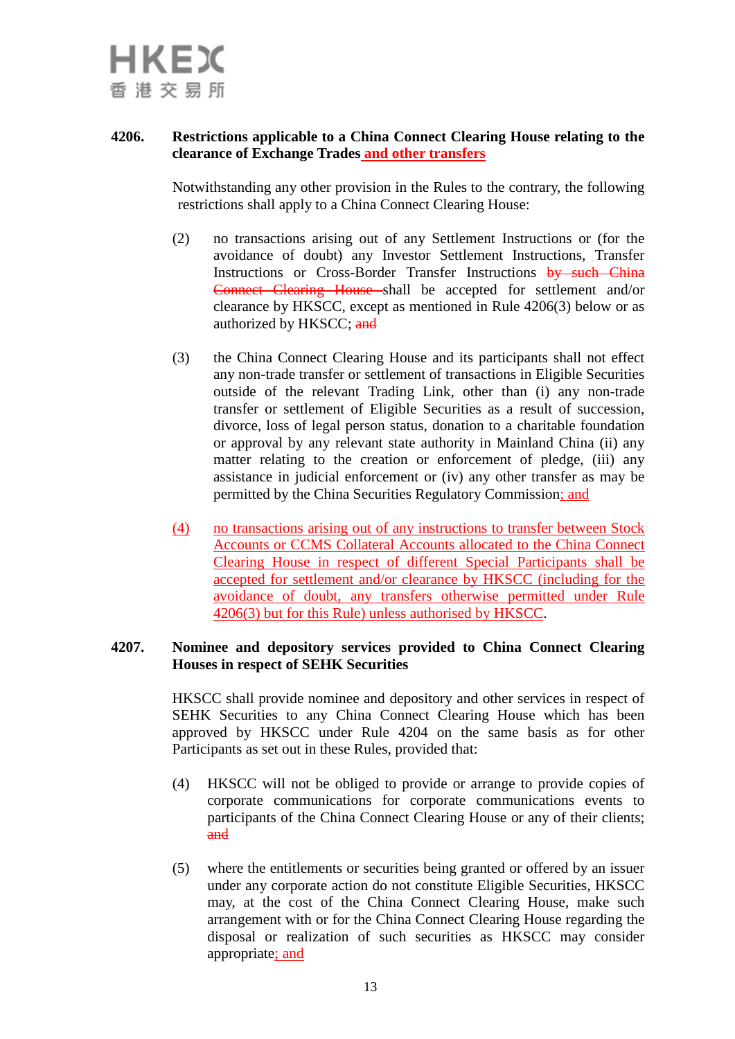

## **4206. Restrictions applicable to a China Connect Clearing House relating to the clearance of Exchange Trades and other transfers**

Notwithstanding any other provision in the Rules to the contrary, the following restrictions shall apply to a China Connect Clearing House:

- (2) no transactions arising out of any Settlement Instructions or (for the avoidance of doubt) any Investor Settlement Instructions, Transfer Instructions or Cross-Border Transfer Instructions by such China Connect Clearing House shall be accepted for settlement and/or clearance by HKSCC, except as mentioned in Rule 4206(3) below or as authorized by HKSCC; and
- (3) the China Connect Clearing House and its participants shall not effect any non-trade transfer or settlement of transactions in Eligible Securities outside of the relevant Trading Link, other than (i) any non-trade transfer or settlement of Eligible Securities as a result of succession, divorce, loss of legal person status, donation to a charitable foundation or approval by any relevant state authority in Mainland China (ii) any matter relating to the creation or enforcement of pledge, (iii) any assistance in judicial enforcement or (iv) any other transfer as may be permitted by the China Securities Regulatory Commission; and
- (4) no transactions arising out of any instructions to transfer between Stock Accounts or CCMS Collateral Accounts allocated to the China Connect Clearing House in respect of different Special Participants shall be accepted for settlement and/or clearance by HKSCC (including for the avoidance of doubt, any transfers otherwise permitted under Rule 4206(3) but for this Rule) unless authorised by HKSCC.

## **4207. Nominee and depository services provided to China Connect Clearing Houses in respect of SEHK Securities**

HKSCC shall provide nominee and depository and other services in respect of SEHK Securities to any China Connect Clearing House which has been approved by HKSCC under Rule 4204 on the same basis as for other Participants as set out in these Rules, provided that:

- (4) HKSCC will not be obliged to provide or arrange to provide copies of corporate communications for corporate communications events to participants of the China Connect Clearing House or any of their clients; and
- (5) where the entitlements or securities being granted or offered by an issuer under any corporate action do not constitute Eligible Securities, HKSCC may, at the cost of the China Connect Clearing House, make such arrangement with or for the China Connect Clearing House regarding the disposal or realization of such securities as HKSCC may consider appropriate; and